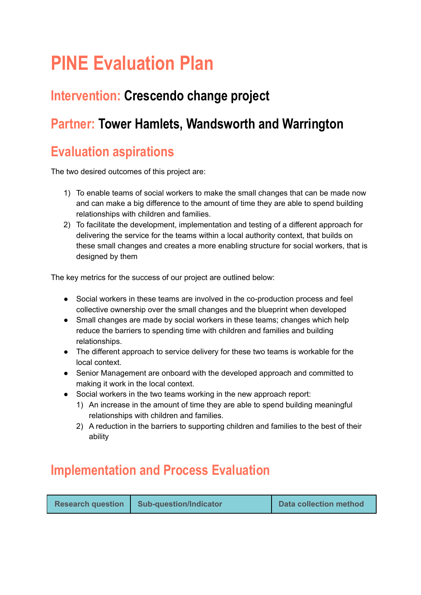# **PINE Evaluation Plan**

## **Intervention: Crescendo change project**

## **Partner: Tower Hamlets, Wandsworth and Warrington**

## **Evaluation aspirations**

The two desired outcomes of this project are:

- 1) To enable teams of social workers to make the small changes that can be made now and can make a big difference to the amount of time they are able to spend building relationships with children and families.
- 2) To facilitate the development, implementation and testing of a different approach for delivering the service for the teams within a local authority context, that builds on these small changes and creates a more enabling structure for social workers, that is designed by them

The key metrics for the success of our project are outlined below:

- Social workers in these teams are involved in the co-production process and feel collective ownership over the small changes and the blueprint when developed
- Small changes are made by social workers in these teams; changes which help reduce the barriers to spending time with children and families and building relationships.
- The different approach to service delivery for these two teams is workable for the local context.
- Senior Management are onboard with the developed approach and committed to making it work in the local context.
- Social workers in the two teams working in the new approach report:
	- 1) An increase in the amount of time they are able to spend building meaningful relationships with children and families.
	- 2) A reduction in the barriers to supporting children and families to the best of their ability

## **Implementation and Process Evaluation**

| <b>Data collection method</b><br><b>Sub-question/Indicator</b><br><b>Research question</b> |
|--------------------------------------------------------------------------------------------|
|--------------------------------------------------------------------------------------------|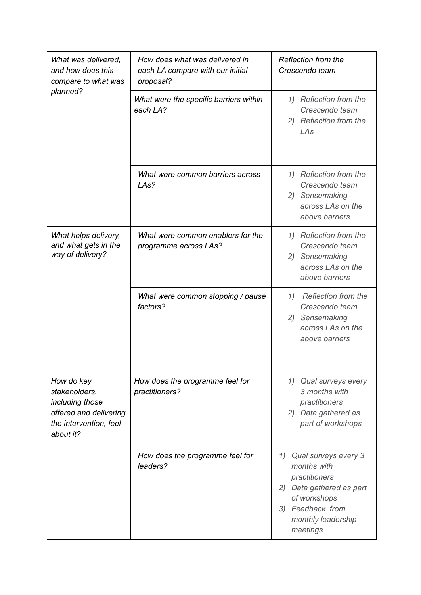| What was delivered,<br>and how does this<br>compare to what was                                                 | How does what was delivered in<br>each LA compare with our initial<br>proposal? | Reflection from the<br>Crescendo team                                                                                                                        |
|-----------------------------------------------------------------------------------------------------------------|---------------------------------------------------------------------------------|--------------------------------------------------------------------------------------------------------------------------------------------------------------|
| planned?                                                                                                        | What were the specific barriers within<br>each LA?                              | 1) Reflection from the<br>Crescendo team<br>2) Reflection from the<br>LAs                                                                                    |
|                                                                                                                 | What were common barriers across<br>LAs?                                        | 1) Reflection from the<br>Crescendo team<br>2) Sensemaking<br>across LAs on the<br>above barriers                                                            |
| What helps delivery,<br>and what gets in the<br>way of delivery?                                                | What were common enablers for the<br>programme across LAs?                      | 1) Reflection from the<br>Crescendo team<br>2) Sensemaking<br>across LAs on the<br>above barriers                                                            |
|                                                                                                                 | What were common stopping / pause<br>factors?                                   | Reflection from the<br>1)<br>Crescendo team<br>2) Sensemaking<br>across LAs on the<br>above barriers                                                         |
| How do key<br>stakeholders,<br>including those<br>offered and delivering<br>the intervention, feel<br>about it? | How does the programme feel for<br>practitioners?                               | 1) Qual surveys every<br>3 months with<br>practitioners<br>2) Data gathered as<br>part of workshops                                                          |
|                                                                                                                 | How does the programme feel for<br>leaders?                                     | Qual surveys every 3<br>1)<br>months with<br>practitioners<br>2) Data gathered as part<br>of workshops<br>3) Feedback from<br>monthly leadership<br>meetings |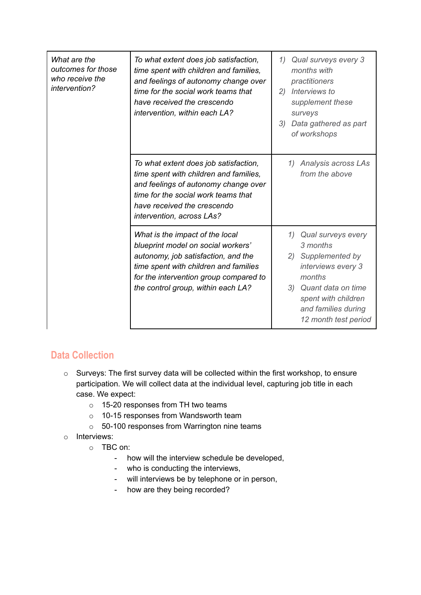| What are the<br>outcomes for those<br>who receive the<br>intervention? | To what extent does job satisfaction,<br>time spent with children and families,<br>and feelings of autonomy change over<br>time for the social work teams that<br>have received the crescendo<br>intervention, within each LA?        | 1)<br>Qual surveys every 3<br>months with<br>practitioners<br>Interviews to<br>2)<br>supplement these<br>surveys<br>3)<br>Data gathered as part<br>of workshops                        |
|------------------------------------------------------------------------|---------------------------------------------------------------------------------------------------------------------------------------------------------------------------------------------------------------------------------------|----------------------------------------------------------------------------------------------------------------------------------------------------------------------------------------|
|                                                                        | To what extent does job satisfaction,<br>time spent with children and families,<br>and feelings of autonomy change over<br>time for the social work teams that<br>have received the crescendo<br>intervention, across LAs?            | Analysis across LAs<br>1)<br>from the above                                                                                                                                            |
|                                                                        | What is the impact of the local<br>blueprint model on social workers'<br>autonomy, job satisfaction, and the<br>time spent with children and families<br>for the intervention group compared to<br>the control group, within each LA? | 1) Qual surveys every<br>3 months<br>2) Supplemented by<br>interviews every 3<br>months<br>3) Quant data on time<br>spent with children<br>and families during<br>12 month test period |

#### **Data Collection**

- o Surveys: The first survey data will be collected within the first workshop, to ensure participation. We will collect data at the individual level, capturing job title in each case. We expect:
	- o 15-20 responses from TH two teams
	- o 10-15 responses from Wandsworth team
	- o 50-100 responses from Warrington nine teams
- o Interviews:
	- o TBC on:
		- how will the interview schedule be developed,
		- who is conducting the interviews,
		- will interviews be by telephone or in person,
		- how are they being recorded?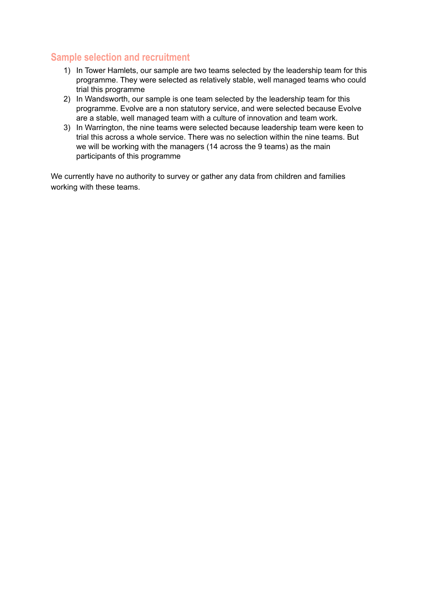#### **Sample selection and recruitment**

- 1) In Tower Hamlets, our sample are two teams selected by the leadership team for this programme. They were selected as relatively stable, well managed teams who could trial this programme
- 2) In Wandsworth, our sample is one team selected by the leadership team for this programme. Evolve are a non statutory service, and were selected because Evolve are a stable, well managed team with a culture of innovation and team work.
- 3) In Warrington, the nine teams were selected because leadership team were keen to trial this across a whole service. There was no selection within the nine teams. But we will be working with the managers (14 across the 9 teams) as the main participants of this programme

We currently have no authority to survey or gather any data from children and families working with these teams.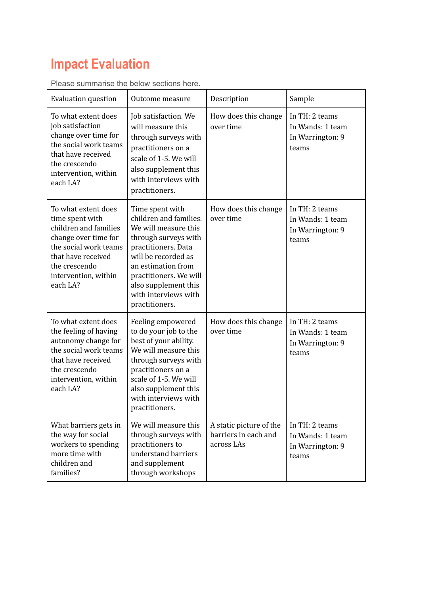## **Impact Evaluation**

| <b>Evaluation question</b>                                                                                                                                                                  | Outcome measure                                                                                                                                                                                                                                           | Description                                                   | Sample                                                          |
|---------------------------------------------------------------------------------------------------------------------------------------------------------------------------------------------|-----------------------------------------------------------------------------------------------------------------------------------------------------------------------------------------------------------------------------------------------------------|---------------------------------------------------------------|-----------------------------------------------------------------|
| To what extent does<br>job satisfaction<br>change over time for<br>the social work teams<br>that have received<br>the crescendo<br>intervention, within<br>each LA?                         | Job satisfaction. We<br>will measure this<br>through surveys with<br>practitioners on a<br>scale of 1-5. We will<br>also supplement this<br>with interviews with<br>practitioners.                                                                        | How does this change<br>over time                             | In TH: 2 teams<br>In Wands: 1 team<br>In Warrington: 9<br>teams |
| To what extent does<br>time spent with<br>children and families<br>change over time for<br>the social work teams<br>that have received<br>the crescendo<br>intervention, within<br>each LA? | Time spent with<br>children and families.<br>We will measure this<br>through surveys with<br>practitioners. Data<br>will be recorded as<br>an estimation from<br>practitioners. We will<br>also supplement this<br>with interviews with<br>practitioners. | How does this change<br>over time                             | In TH: 2 teams<br>In Wands: 1 team<br>In Warrington: 9<br>teams |
| To what extent does<br>the feeling of having<br>autonomy change for<br>the social work teams<br>that have received<br>the crescendo<br>intervention, within<br>each LA?                     | Feeling empowered<br>to do your job to the<br>best of your ability.<br>We will measure this<br>through surveys with<br>practitioners on a<br>scale of 1-5. We will<br>also supplement this<br>with interviews with<br>practitioners.                      | How does this change<br>over time                             | In TH: 2 teams<br>In Wands: 1 team<br>In Warrington: 9<br>teams |
| What barriers gets in<br>the way for social<br>workers to spending<br>more time with<br>children and<br>families?                                                                           | We will measure this<br>through surveys with<br>practitioners to<br>understand barriers<br>and supplement<br>through workshops                                                                                                                            | A static picture of the<br>barriers in each and<br>across LAs | In TH: 2 teams<br>In Wands: 1 team<br>In Warrington: 9<br>teams |

Please summarise the below sections here.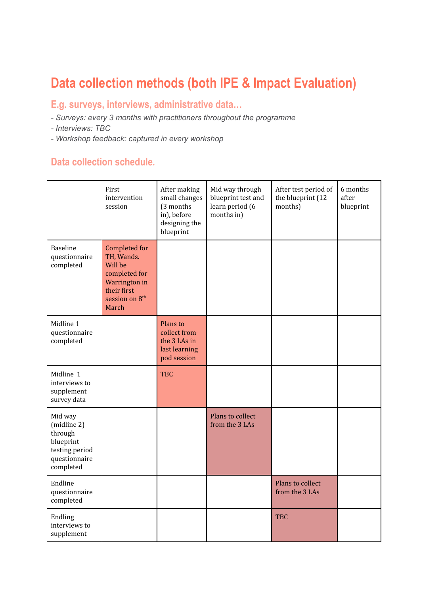## **Data collection methods (both IPE & Impact Evaluation)**

#### **E.g. surveys, interviews, administrative data…**

- *- Surveys: every 3 months with practitioners throughout the programme*
- *- Interviews: TBC*
- *- Workshop feedback: captured in every workshop*

#### **Data collection schedule***.*

|                                                                                                | First<br>intervention<br>session                                                                                               | After making<br>small changes<br>(3 months<br>in), before<br>designing the<br>blueprint | Mid way through<br>blueprint test and<br>learn period (6<br>months in) | After test period of<br>the blueprint (12<br>months) | 6 months<br>after<br>blueprint |
|------------------------------------------------------------------------------------------------|--------------------------------------------------------------------------------------------------------------------------------|-----------------------------------------------------------------------------------------|------------------------------------------------------------------------|------------------------------------------------------|--------------------------------|
| Baseline<br>questionnaire<br>completed                                                         | Completed for<br>TH, Wands.<br>Will be<br>completed for<br>Warrington in<br>their first<br>session on 8 <sup>th</sup><br>March |                                                                                         |                                                                        |                                                      |                                |
| Midline 1<br>questionnaire<br>completed                                                        |                                                                                                                                | Plans to<br>collect from<br>the 3 LAs in<br>last learning<br>pod session                |                                                                        |                                                      |                                |
| Midline 1<br>interviews to<br>supplement<br>survey data                                        |                                                                                                                                | <b>TBC</b>                                                                              |                                                                        |                                                      |                                |
| Mid way<br>(midline 2)<br>through<br>blueprint<br>testing period<br>questionnaire<br>completed |                                                                                                                                |                                                                                         | Plans to collect<br>from the 3 LAs                                     |                                                      |                                |
| Endline<br>questionnaire<br>completed                                                          |                                                                                                                                |                                                                                         |                                                                        | Plans to collect<br>from the 3 LAs                   |                                |
| Endling<br>interviews to<br>supplement                                                         |                                                                                                                                |                                                                                         |                                                                        | <b>TBC</b>                                           |                                |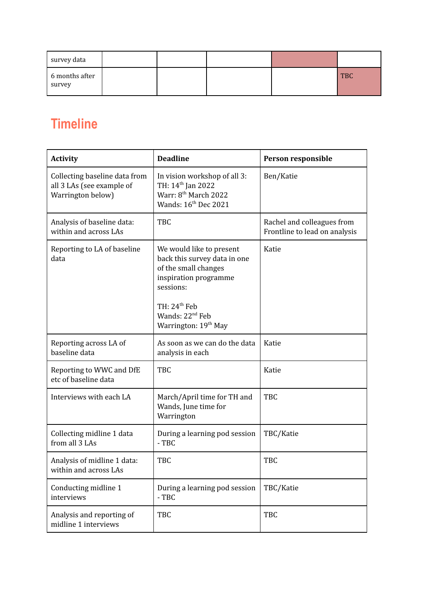| survey data              |  |  |            |
|--------------------------|--|--|------------|
| 6 months after<br>survey |  |  | <b>TBC</b> |

## **Timeline**

| <b>Activity</b>                                                                 | <b>Deadline</b>                                                                                                                                                                                             | Person responsible                                          |
|---------------------------------------------------------------------------------|-------------------------------------------------------------------------------------------------------------------------------------------------------------------------------------------------------------|-------------------------------------------------------------|
| Collecting baseline data from<br>all 3 LAs (see example of<br>Warrington below) | In vision workshop of all 3:<br>TH: 14 <sup>th</sup> Jan 2022<br>Warr: 8 <sup>th</sup> March 2022<br>Wands: 16 <sup>th</sup> Dec 2021                                                                       | Ben/Katie                                                   |
| Analysis of baseline data:<br>within and across LAs                             | <b>TBC</b>                                                                                                                                                                                                  | Rachel and colleagues from<br>Frontline to lead on analysis |
| Reporting to LA of baseline<br>data                                             | We would like to present<br>back this survey data in one<br>of the small changes<br>inspiration programme<br>sessions:<br>TH: $24th$ Feb<br>Wands: 22 <sup>nd</sup> Feb<br>Warrington: 19 <sup>th</sup> May | Katie                                                       |
| Reporting across LA of<br>baseline data                                         | As soon as we can do the data<br>analysis in each                                                                                                                                                           | Katie                                                       |
| Reporting to WWC and DfE<br>etc of baseline data                                | <b>TBC</b>                                                                                                                                                                                                  | Katie                                                       |
| Interviews with each LA                                                         | March/April time for TH and<br>Wands, June time for<br>Warrington                                                                                                                                           | <b>TBC</b>                                                  |
| Collecting midline 1 data<br>from all 3 LAs                                     | During a learning pod session<br>$-TBC$                                                                                                                                                                     | TBC/Katie                                                   |
| Analysis of midline 1 data:<br>within and across LAs                            | TBC                                                                                                                                                                                                         | <b>TBC</b>                                                  |
| Conducting midline 1<br>interviews                                              | During a learning pod session<br>$-TBC$                                                                                                                                                                     | TBC/Katie                                                   |
| Analysis and reporting of<br>midline 1 interviews                               | TBC                                                                                                                                                                                                         | TBC                                                         |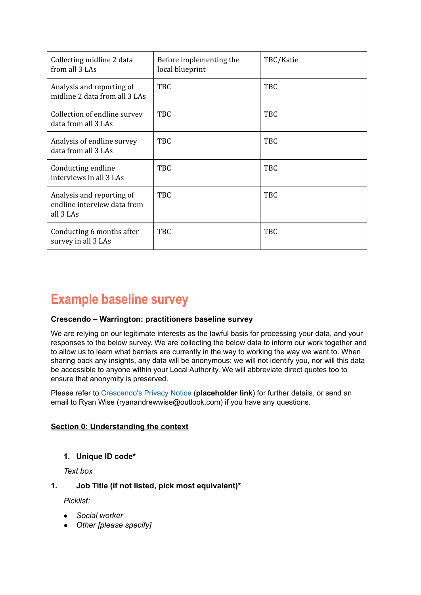| Collecting midline 2 data<br>from all 3 LAs                           | Before implementing the<br>local blueprint | TBC/Katie  |
|-----------------------------------------------------------------------|--------------------------------------------|------------|
| Analysis and reporting of<br>midline 2 data from all 3 LAs            | <b>TBC</b>                                 | TBC        |
| Collection of endline survey<br>data from all 3 LAs                   | <b>TBC</b>                                 | <b>TBC</b> |
| Analysis of endline survey<br>data from all 3 LAs                     | TBC                                        | <b>TBC</b> |
| Conducting endline<br>interviews in all 3 LAs                         | TBC                                        | <b>TBC</b> |
| Analysis and reporting of<br>endline interview data from<br>all 3 LAs | <b>TBC</b>                                 | <b>TBC</b> |
| Conducting 6 months after<br>survey in all 3 LAs                      | TBC                                        | <b>TBC</b> |

## **Example baseline survey**

#### **Crescendo – Warrington: practitioners baseline survey**

We are relying on our legitimate interests as the lawful basis for processing your data, and your responses to the below survey. We are collecting the below data to inform our work together and to allow us to learn what barriers are currently in the way to working the way we want to. When sharing back any insights, any data will be anonymous: we will not identify you, nor will this data be accessible to anyone within your Local Authority. We will abbreviate direct quotes too to ensure that anonymity is preserved.

Please refer to [Crescendo's Privacy Notice](https://docs.google.com/document/d/1EvKZr03orR_MlPxsVSyJxMQ3HxWie9aW/edit) (**placeholder link**) for further details, or send an email to Ryan Wise (ryanandrewwise@outlook.com) if you have any questions.

#### **Section 0: Understanding the context**

**1. Unique ID code\***

*Text box*

#### **1. Job Title (if not listed, pick most equivalent)\***

*Picklist:*

- *● Social worker*
- *● Other [please specify]*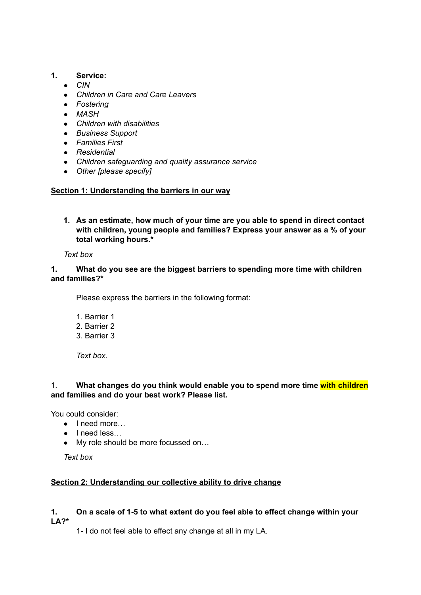#### **1. Service:**

- *● CIN*
- *● Children in Care and Care Leavers*
- *● Fostering*
- *● MASH*
- *● Children with disabilities*
- *● Business Support*
- *● Families First*
- *● Residential*
- *● Children safeguarding and quality assurance service*
- *● Other [please specify]*

#### **Section 1: Understanding the barriers in our way**

**1. As an estimate, how much of your time are you able to spend in direct contact with children, young people and families? Express your answer as a % of your total working hours.\***

*Text box*

#### **1. What do you see are the biggest barriers to spending more time with children and families?\***

Please express the barriers in the following format:

- 1. Barrier 1
- 2. Barrier 2
- 3. Barrier 3

*Text box.*

#### 1. **What changes do you think would enable you to spend more time with children and families and do your best work? Please list.**

You could consider:

- I need more…
- I need less…
- My role should be more focussed on...

*Text box*

#### **Section 2: Understanding our collective ability to drive change**

#### **1. On a scale of 1-5 to what extent do you feel able to effect change within your LA?\***

1- I do not feel able to effect any change at all in my LA.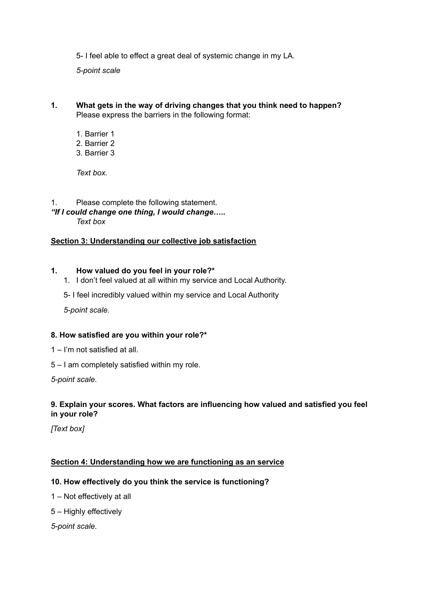5- I feel able to effect a great deal of systemic change in my LA.

*5-point scale*

- **1. What gets in the way of driving changes that you think need to happen?** Please express the barriers in the following format:
	- 1. Barrier 1 2. Barrier 2
	- 3. Barrier 3

*Text box.*

1. Please complete the following statement. *"If I could change one thing, I would change….. Text box*

#### **Section 3: Understanding our collective job satisfaction**

#### **1. How valued do you feel in your role?\***

- 1. I don't feel valued at all within my service and Local Authority.
- 5- I feel incredibly valued within my service and Local Authority

*5-point scale.*

#### **8. How satisfied are you within your role?\***

- 1 I'm not satisfied at all.
- 5 I am completely satisfied within my role.

*5-point scale.*

#### **9. Explain your scores. What factors are influencing how valued and satisfied you feel in your role?**

*[Text box]*

#### **Section 4: Understanding how we are functioning as an service**

#### **10. How effectively do you think the service is functioning?**

- 1 Not effectively at all
- 5 Highly effectively

*5-point scale.*